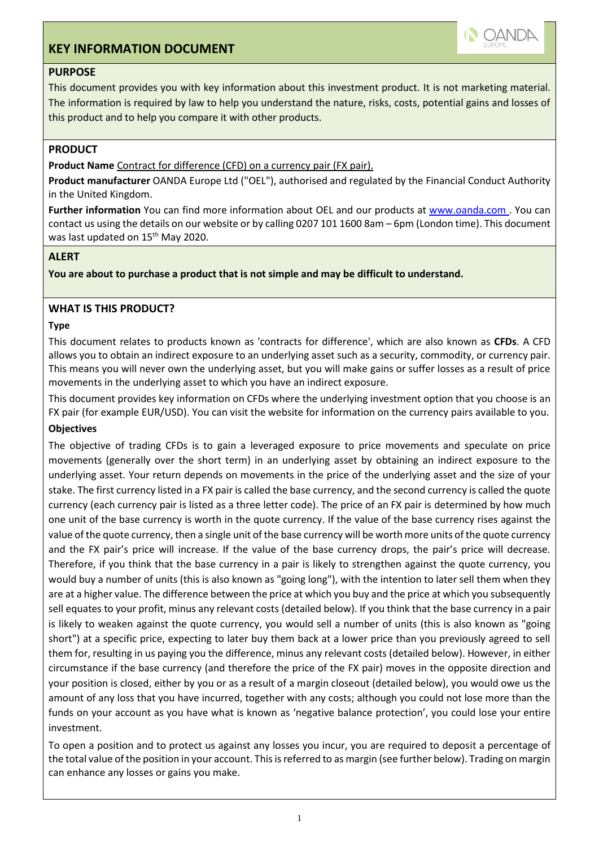# **KEY INFORMATION DOCUMENT**



# **PURPOSE**

This document provides you with key information about this investment product. It is not marketing material. The information is required by law to help you understand the nature, risks, costs, potential gains and losses of this product and to help you compare it with other products.

# **PRODUCT**

**Product Name** Contract for difference (CFD) on a currency pair (FX pair).

**Product manufacturer** OANDA Europe Ltd ("OEL"), authorised and regulated by the Financial Conduct Authority in the United Kingdom.

**Further information** You can find more information about OEL and our products at www.oanda.com . You can contact us using the details on our website or by calling 0207 101 1600 8am – 6pm (London time). This document was last updated on 15<sup>th</sup> May 2020.

# **ALERT**

**You are about to purchase a product that is not simple and may be difficult to understand.**

# **WHAT IS THIS PRODUCT?**

### **Type**

This document relates to products known as 'contracts for difference', which are also known as **CFDs**. A CFD allows you to obtain an indirect exposure to an underlying asset such as a security, commodity, or currency pair. This means you will never own the underlying asset, but you will make gains or suffer losses as a result of price movements in the underlying asset to which you have an indirect exposure.

This document provides key information on CFDs where the underlying investment option that you choose is an FX pair (for example EUR/USD). You can visit the website for information on the currency pairs available to you.

# **Objectives**

The objective of trading CFDs is to gain a leveraged exposure to price movements and speculate on price movements (generally over the short term) in an underlying asset by obtaining an indirect exposure to the underlying asset. Your return depends on movements in the price of the underlying asset and the size of your stake. The first currency listed in a FX pair is called the base currency, and the second currency is called the quote currency (each currency pair is listed as a three letter code). The price of an FX pair is determined by how much one unit of the base currency is worth in the quote currency. If the value of the base currency rises against the value of the quote currency, then a single unit of the base currency will be worth more units of the quote currency and the FX pair's price will increase. If the value of the base currency drops, the pair's price will decrease. Therefore, if you think that the base currency in a pair is likely to strengthen against the quote currency, you would buy a number of units (this is also known as "going long"), with the intention to later sell them when they are at a higher value. The difference between the price at which you buy and the price at which you subsequently sell equates to your profit, minus any relevant costs (detailed below). If you think that the base currency in a pair is likely to weaken against the quote currency, you would sell a number of units (this is also known as "going short") at a specific price, expecting to later buy them back at a lower price than you previously agreed to sell them for, resulting in us paying you the difference, minus any relevant costs (detailed below). However, in either circumstance if the base currency (and therefore the price of the FX pair) moves in the opposite direction and your position is closed, either by you or as a result of a margin closeout (detailed below), you would owe us the amount of any loss that you have incurred, together with any costs; although you could not lose more than the funds on your account as you have what is known as 'negative balance protection', you could lose your entire investment.

To open a position and to protect us against any losses you incur, you are required to deposit a percentage of the total value of the position in your account. This is referred to as margin (see further below). Trading on margin can enhance any losses or gains you make.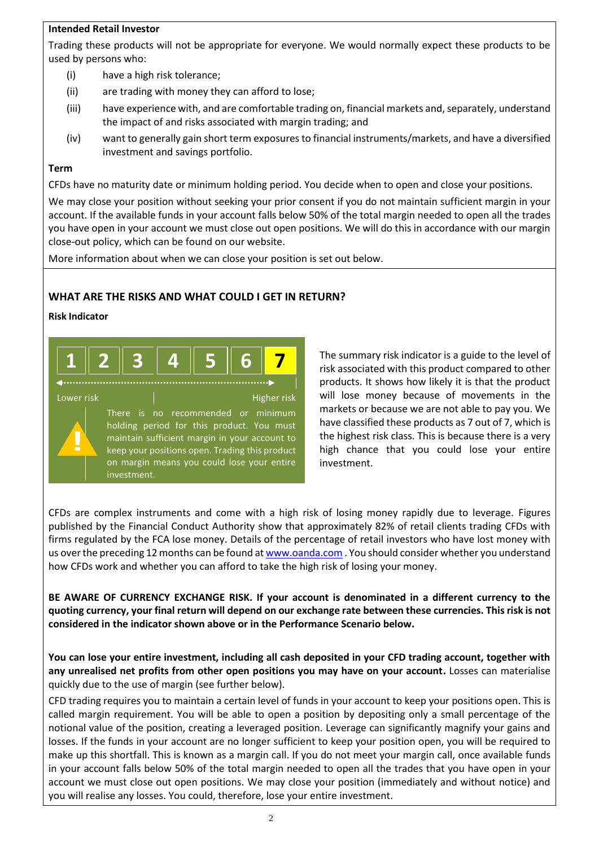# **Intended Retail Investor**

Trading these products will not be appropriate for everyone. We would normally expect these products to be used by persons who:

- (i) have a high risk tolerance;
- (ii) are trading with money they can afford to lose;
- (iii) have experience with, and are comfortable trading on, financial markets and, separately, understand the impact of and risks associated with margin trading; and
- (iv) want to generally gain short term exposures to financial instruments/markets, and have a diversified investment and savings portfolio.

### **Term**

CFDs have no maturity date or minimum holding period. You decide when to open and close your positions.

We may close your position without seeking your prior consent if you do not maintain sufficient margin in your account. If the available funds in your account falls below 50% of the total margin needed to open all the trades you have open in your account we must close out open positions. We will do this in accordance with our margin close-out policy, which can be found on our website.

More information about when we can close your position is set out below.

# **WHAT ARE THE RISKS AND WHAT COULD I GET IN RETURN?**

#### **Risk Indicator**

|            |             | . |                                                                                                                                                                                                                                  |             |
|------------|-------------|---|----------------------------------------------------------------------------------------------------------------------------------------------------------------------------------------------------------------------------------|-------------|
| Lower risk | investment. |   | There is no recommended or minimum<br>holding period for this product. You must<br>maintain sufficient margin in your account to<br>keep your positions open. Trading this product<br>on margin means you could lose your entire | Higher risk |

The summary risk indicator is a guide to the level of risk associated with this product compared to other products. It shows how likely it is that the product will lose money because of movements in the markets or because we are not able to pay you. We have classified these products as 7 out of 7, which is the highest risk class. This is because there is a very high chance that you could lose your entire investment.

CFDs are complex instruments and come with a high risk of losing money rapidly due to leverage. Figures published by the Financial Conduct Authority show that approximately 82% of retail clients trading CFDs with firms regulated by the FCA lose money. Details of the percentage of retail investors who have lost money with us over the preceding 12 months can be found a[t www.oanda.com](http://www.oanda.com/) . You should consider whether you understand how CFDs work and whether you can afford to take the high risk of losing your money.

**BE AWARE OF CURRENCY EXCHANGE RISK. If your account is denominated in a different currency to the quoting currency, your final return will depend on our exchange rate between these currencies. This risk is not considered in the indicator shown above or in the Performance Scenario below.**

**You can lose your entire investment, including all cash deposited in your CFD trading account, together with any unrealised net profits from other open positions you may have on your account.** Losses can materialise quickly due to the use of margin (see further below).

CFD trading requires you to maintain a certain level of funds in your account to keep your positions open. This is called margin requirement. You will be able to open a position by depositing only a small percentage of the notional value of the position, creating a leveraged position. Leverage can significantly magnify your gains and losses. If the funds in your account are no longer sufficient to keep your position open, you will be required to make up this shortfall. This is known as a margin call. If you do not meet your margin call, once available funds in your account falls below 50% of the total margin needed to open all the trades that you have open in your account we must close out open positions. We may close your position (immediately and without notice) and you will realise any losses. You could, therefore, lose your entire investment.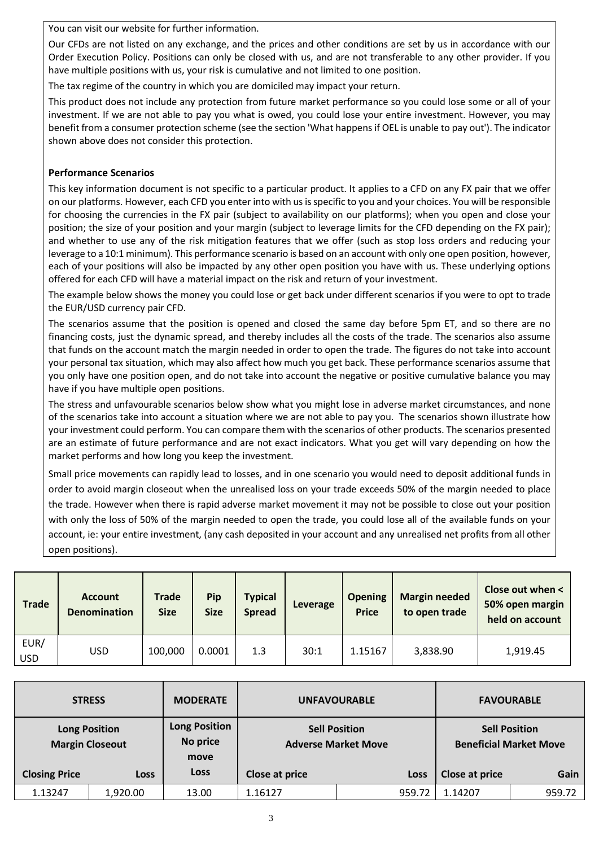You can visit our website for further information.

Our CFDs are not listed on any exchange, and the prices and other conditions are set by us in accordance with our Order Execution Policy. Positions can only be closed with us, and are not transferable to any other provider. If you have multiple positions with us, your risk is cumulative and not limited to one position.

The tax regime of the country in which you are domiciled may impact your return.

This product does not include any protection from future market performance so you could lose some or all of your investment. If we are not able to pay you what is owed, you could lose your entire investment. However, you may benefit from a consumer protection scheme (see the section 'What happens if OEL is unable to pay out'). The indicator shown above does not consider this protection.

### **Performance Scenarios**

This key information document is not specific to a particular product. It applies to a CFD on any FX pair that we offer on our platforms. However, each CFD you enter into with us is specific to you and your choices. You will be responsible for choosing the currencies in the FX pair (subject to availability on our platforms); when you open and close your position; the size of your position and your margin (subject to leverage limits for the CFD depending on the FX pair); and whether to use any of the risk mitigation features that we offer (such as stop loss orders and reducing your leverage to a 10:1 minimum). This performance scenario is based on an account with only one open position, however, each of your positions will also be impacted by any other open position you have with us. These underlying options offered for each CFD will have a material impact on the risk and return of your investment.

The example below shows the money you could lose or get back under different scenarios if you were to opt to trade the EUR/USD currency pair CFD.

The scenarios assume that the position is opened and closed the same day before 5pm ET, and so there are no financing costs, just the dynamic spread, and thereby includes all the costs of the trade. The scenarios also assume that funds on the account match the margin needed in order to open the trade. The figures do not take into account your personal tax situation, which may also affect how much you get back. These performance scenarios assume that you only have one position open, and do not take into account the negative or positive cumulative balance you may have if you have multiple open positions.

The stress and unfavourable scenarios below show what you might lose in adverse market circumstances, and none of the scenarios take into account a situation where we are not able to pay you. The scenarios shown illustrate how your investment could perform. You can compare them with the scenarios of other products. The scenarios presented are an estimate of future performance and are not exact indicators. What you get will vary depending on how the market performs and how long you keep the investment.

Small price movements can rapidly lead to losses, and in one scenario you would need to deposit additional funds in order to avoid margin closeout when the unrealised loss on your trade exceeds 50% of the margin needed to place the trade. However when there is rapid adverse market movement it may not be possible to close out your position with only the loss of 50% of the margin needed to open the trade, you could lose all of the available funds on your account, ie: your entire investment, (any cash deposited in your account and any unrealised net profits from all other open positions).

| <b>Trade</b>       | <b>Account</b><br><b>Denomination</b> | <b>Trade</b><br><b>Size</b> | Pip<br><b>Size</b> | <b>Typical</b><br><b>Spread</b> | Leverage | <b>Opening</b><br><b>Price</b> | <b>Margin needed</b><br>to open trade | Close out when <<br>50% open margin<br>held on account |
|--------------------|---------------------------------------|-----------------------------|--------------------|---------------------------------|----------|--------------------------------|---------------------------------------|--------------------------------------------------------|
| EUR/<br><b>USD</b> | USD.                                  | 100,000                     | 0.0001             | 1.3                             | 30:1     | 1.15167                        | 3,838.90                              | 1,919.45                                               |

| <b>STRESS</b>                                  |             | <b>MODERATE</b>                          | <b>UNFAVOURABLE</b>                                |        | <b>FAVOURABLE</b>                                     |        |
|------------------------------------------------|-------------|------------------------------------------|----------------------------------------------------|--------|-------------------------------------------------------|--------|
| <b>Long Position</b><br><b>Margin Closeout</b> |             | <b>Long Position</b><br>No price<br>move | <b>Sell Position</b><br><b>Adverse Market Move</b> |        | <b>Sell Position</b><br><b>Beneficial Market Move</b> |        |
| <b>Closing Price</b>                           | <b>Loss</b> | <b>Loss</b>                              | <b>Close at price</b>                              | Loss   | Close at price                                        | Gain   |
| 1.13247                                        | 1,920.00    | 13.00                                    | 1.16127                                            | 959.72 | 1.14207                                               | 959.72 |